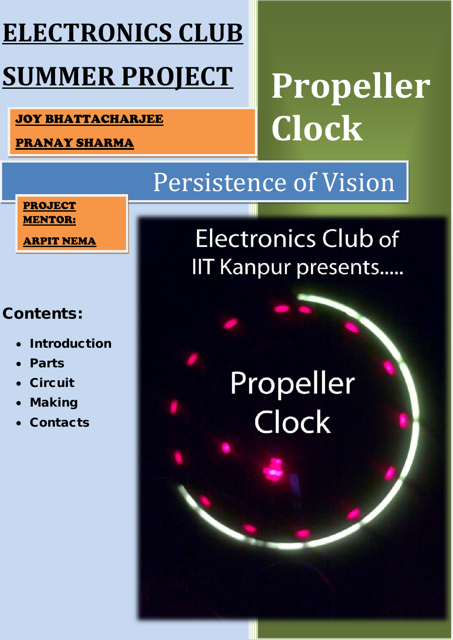#### **ELECTRONICS CLUB**

# **SUMMER PROJECT**

JOY BHATTACHARJEE

PRANAY SHARMA

# **Propeller Clock**

### Persistence of Vision

#### ARPIT NEMA

PROJECT MENTOR:

#### Contents:

- **Introduction**
- **Parts**
- **Circuit**
- **Making**
- **Contacts**

### **Electronics Club of** IIT Kanpur presents.....

# Propeller Clock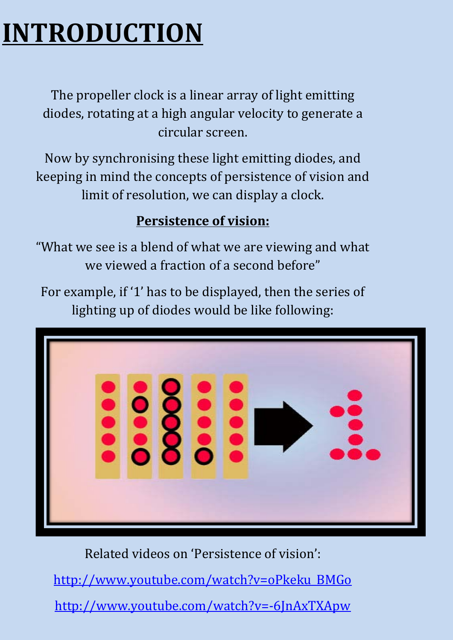## **INTRODUCTION**

The propeller clock is a linear array of light emitting diodes, rotating at a high angular velocity to generate a circular screen.

Now by synchronising these light emitting diodes, and keeping in mind the concepts of persistence of vision and limit of resolution, we can display a clock.

#### **Persistence of vision:**

"What we see is a blend of what we are viewing and what we viewed a fraction of a second before"

For example, if '1' has to be displayed, then the series of lighting up of diodes would be like following:



Related videos on 'Persistence of vision':

[http://www.youtube.com/watch?v=oPkeku\\_BMGo](http://www.youtube.com/watch?v=oPkeku_BMGo)

<http://www.youtube.com/watch?v=-6JnAxTXApw>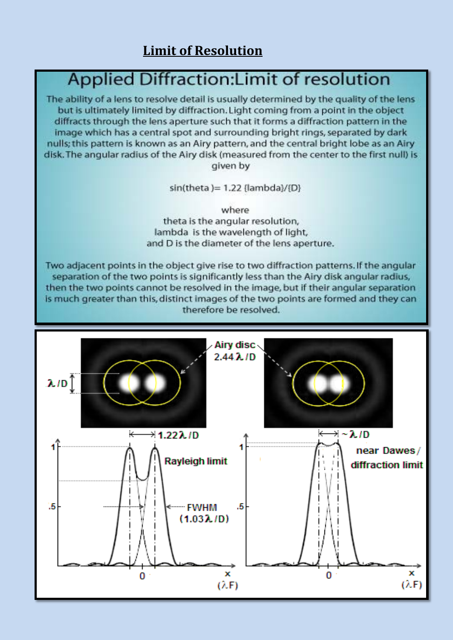#### **Applied Diffraction: Limit of resolution**

The ability of a lens to resolve detail is usually determined by the quality of the lens but is ultimately limited by diffraction. Light coming from a point in the object diffracts through the lens aperture such that it forms a diffraction pattern in the image which has a central spot and surrounding bright rings, separated by dark nulls; this pattern is known as an Airy pattern, and the central bright lobe as an Airy disk. The angular radius of the Airy disk (measured from the center to the first null) is given by

 $sin(theta) = 1.22$  {lambda}/{D}

where theta is the angular resolution, lambda is the wavelength of light, and D is the diameter of the lens aperture.

Two adjacent points in the object give rise to two diffraction patterns. If the angular separation of the two points is significantly less than the Airy disk angular radius, then the two points cannot be resolved in the image, but if their angular separation is much greater than this, distinct images of the two points are formed and they can therefore be resolved.

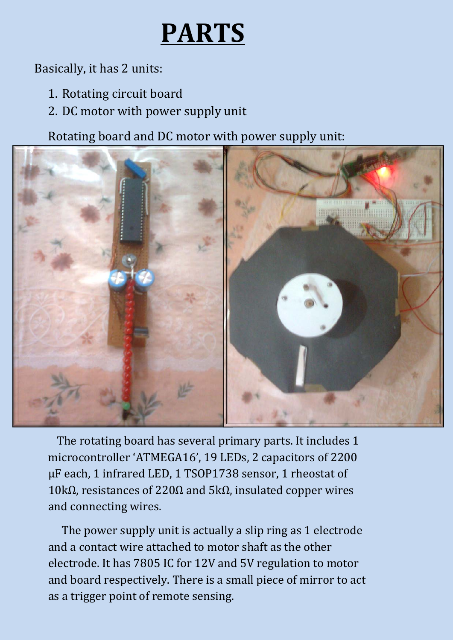#### **PARTS**

Basically, it has 2 units:

- 1. Rotating circuit board
- 2. DC motor with power supply unit

Rotating board and DC motor with power supply unit:



The rotating board has several primary parts. It includes 1 microcontroller 'ATMEGA16', 19 LEDs, 2 capacitors of 2200 μF each, 1 infrared LED, 1 TSOP1738 sensor, 1 rheostat of 10kΩ, resistances of 220Ω and 5kΩ, insulated copper wires and connecting wires.

The power supply unit is actually a slip ring as 1 electrode and a contact wire attached to motor shaft as the other electrode. It has 7805 IC for 12V and 5V regulation to motor and board respectively. There is a small piece of mirror to act as a trigger point of remote sensing.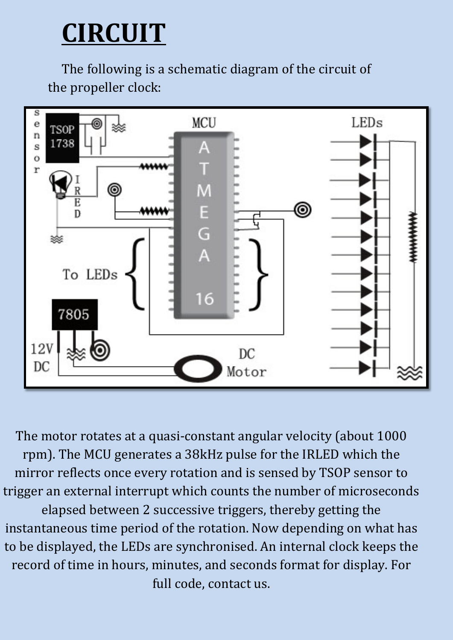## **CIRCUIT**

The following is a schematic diagram of the circuit of the propeller clock:



The motor rotates at a quasi-constant angular velocity (about 1000 rpm). The MCU generates a 38kHz pulse for the IRLED which the mirror reflects once every rotation and is sensed by TSOP sensor to trigger an external interrupt which counts the number of microseconds elapsed between 2 successive triggers, thereby getting the instantaneous time period of the rotation. Now depending on what has to be displayed, the LEDs are synchronised. An internal clock keeps the record of time in hours, minutes, and seconds format for display. For full code, contact us.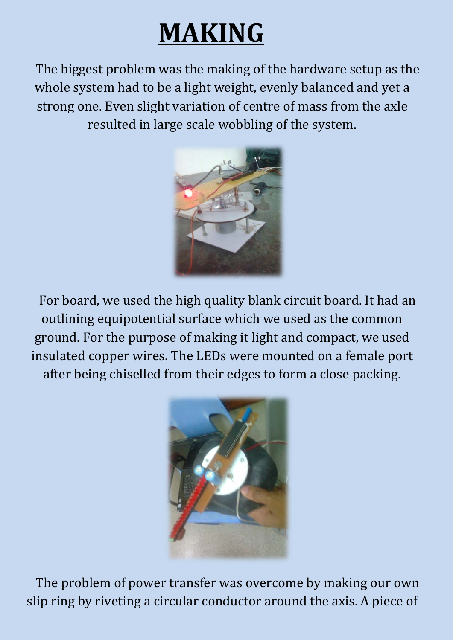### **MAKING**

The biggest problem was the making of the hardware setup as the whole system had to be a light weight, evenly balanced and yet a strong one. Even slight variation of centre of mass from the axle resulted in large scale wobbling of the system.

![](_page_5_Picture_2.jpeg)

For board, we used the high quality blank circuit board. It had an outlining equipotential surface which we used as the common ground. For the purpose of making it light and compact, we used insulated copper wires. The LEDs were mounted on a female port after being chiselled from their edges to form a close packing.

![](_page_5_Picture_4.jpeg)

The problem of power transfer was overcome by making our own slip ring by riveting a circular conductor around the axis. A piece of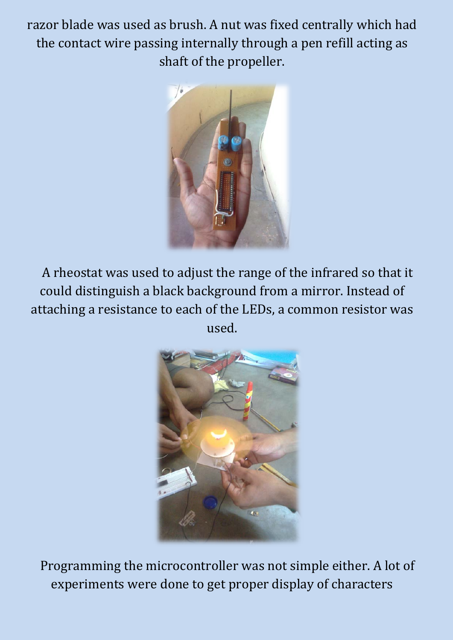razor blade was used as brush. A nut was fixed centrally which had the contact wire passing internally through a pen refill acting as shaft of the propeller.

![](_page_6_Picture_1.jpeg)

A rheostat was used to adjust the range of the infrared so that it could distinguish a black background from a mirror. Instead of attaching a resistance to each of the LEDs, a common resistor was used.

![](_page_6_Picture_3.jpeg)

Programming the microcontroller was not simple either. A lot of experiments were done to get proper display of characters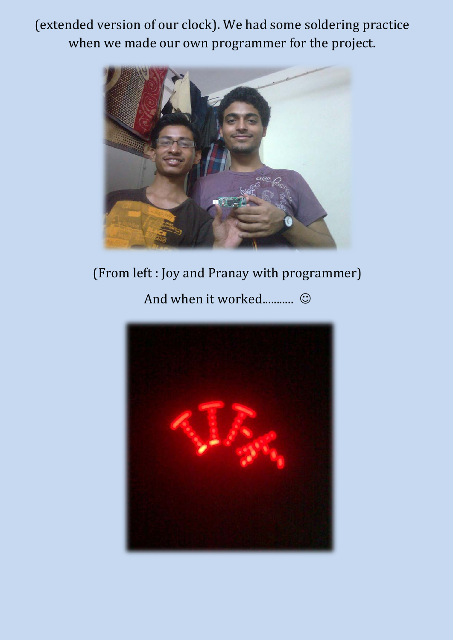(extended version of our clock). We had some soldering practice when we made our own programmer for the project.

![](_page_7_Picture_1.jpeg)

(From left : Joy and Pranay with programmer)

And when it worked............ ©

![](_page_7_Picture_4.jpeg)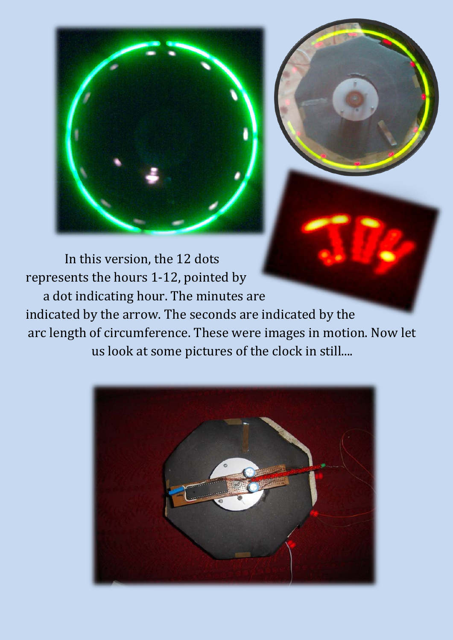In this version, the 12 dots represents the hours 1-12, pointed by a dot indicating hour. The minutes are indicated by the arrow. The seconds are indicated by the arc length of circumference. These were images in motion. Now let us look at some pictures of the clock in still....

١

![](_page_8_Picture_1.jpeg)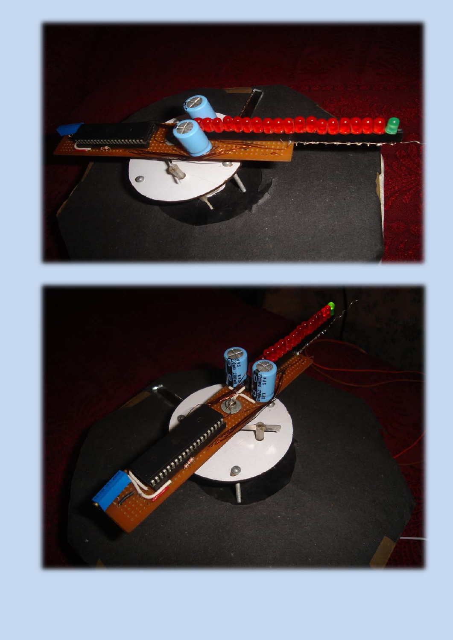![](_page_9_Picture_0.jpeg)

![](_page_9_Picture_1.jpeg)